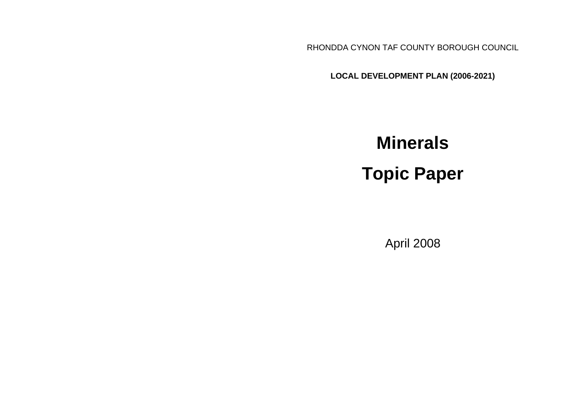RHONDDA CYNON TAF COUNTY BOROUGH COUNCIL

**LOCAL DEVELOPMENT PLAN (2006-2021)**

# **Minerals Topic Paper**

April 2008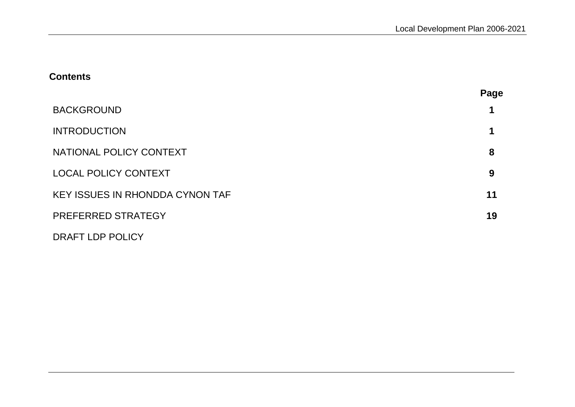# **Contents**

|                                        | Page |
|----------------------------------------|------|
| <b>BACKGROUND</b>                      | 1    |
| <b>INTRODUCTION</b>                    | 1    |
| NATIONAL POLICY CONTEXT                | 8    |
| <b>LOCAL POLICY CONTEXT</b>            | 9    |
| <b>KEY ISSUES IN RHONDDA CYNON TAF</b> | 11   |
| PREFERRED STRATEGY                     | 19   |
| DRAFT LDP POLICY                       |      |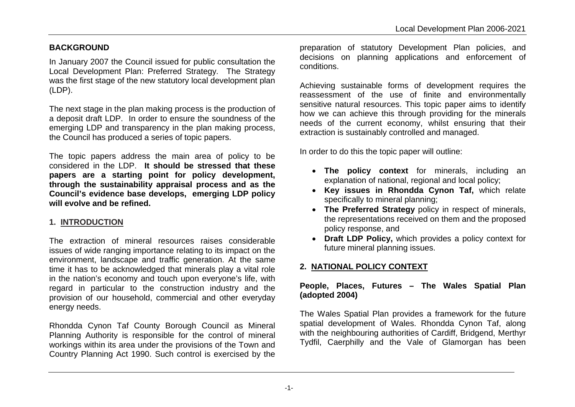## **BACKGROUND**

In January 2007 the Council issued for public consultation the Local Development Plan: Preferred Strategy. The Strategy was the first stage of the new statutory local development plan (LDP).

The next stage in the plan making process is the production of a deposit draft LDP. In order to ensure the soundness of the emerging LDP and transparency in the plan making process, the Council has produced a series of topic papers.

The topic papers address the main area of policy to be considered in the LDP. **It should be stressed that these papers are a starting point for policy development, through the sustainability appraisal process and as the Council's evidence base develops, emerging LDP policy will evolve and be refined.**

#### **1. INTRODUCTION**

The extraction of mineral resources raises considerable issues of wide ranging importance relating to its impact on the environment, landscape and traffic generation. At the same time it has to be acknowledged that minerals play a vital role in the nation's economy and touch upon everyone's life, with regard in particular to the construction industry and the provision of our household, commercial and other everyday energy needs.

Rhondda Cynon Taf County Borough Council as Mineral Planning Authority is responsible for the control of mineral workings within its area under the provisions of the Town and Country Planning Act 1990. Such control is exercised by the preparation of statutory Development Plan policies, and decisions on planning applications and enforcement of conditions.

Achieving sustainable forms of development requires the reassessment of the use of finite and environmentally sensitive natural resources. This topic paper aims to identify how we can achieve this through providing for the minerals needs of the current economy, whilst ensuring that their extraction is sustainably controlled and managed.

In order to do this the topic paper will outline:

- **The policy context** for minerals, including an explanation of national, regional and local policy;
- **Key issues in Rhondda Cynon Taf,** which relate specifically to mineral planning;
- **The Preferred Strategy** policy in respect of minerals, the representations received on them and the proposed policy response, and
- **Draft LDP Policy,** which provides a policy context for future mineral planning issues.

# **2. NATIONAL POLICY CONTEXT**

## **People, Places, Futures – The Wales Spatial Plan (adopted 2004)**

The Wales Spatial Plan provides a framework for the future spatial development of Wales. Rhondda Cynon Taf, along with the neighbouring authorities of Cardiff, Bridgend, Merthyr Tydfil, Caerphilly and the Vale of Glamorgan has been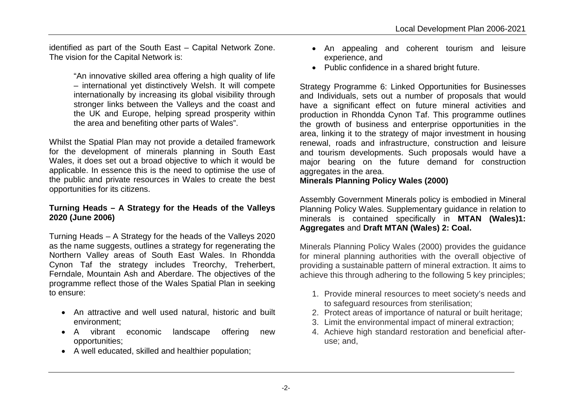identified as part of the South East – Capital Network Zone. The vision for the Capital Network is:

> "An innovative skilled area offering a high quality of life – international yet distinctively Welsh. It will compete internationally by increasing its global visibility through stronger links between the Valleys and the coast and the UK and Europe, helping spread prosperity within the area and benefiting other parts of Wales".

Whilst the Spatial Plan may not provide a detailed framework for the development of minerals planning in South East Wales, it does set out a broad objective to which it would be applicable. In essence this is the need to optimise the use of the public and private resources in Wales to create the best opportunities for its citizens.

## **Turning Heads – A Strategy for the Heads of the Valleys 2020 (June 2006)**

Turning Heads – A Strategy for the heads of the Valleys 2020 as the name suggests, outlines a strategy for regenerating the Northern Valley areas of South East Wales. In Rhondda Cynon Taf the strategy includes Treorchy, Treherbert, Ferndale, Mountain Ash and Aberdare. The objectives of the programme reflect those of the Wales Spatial Plan in seeking to ensure:

- An attractive and well used natural, historic and built environment;
- A vibrant economic landscape offering new opportunities;
- A well educated, skilled and healthier population;
- An appealing and coherent tourism and leisure experience, and
- Public confidence in a shared bright future.

Strategy Programme 6: Linked Opportunities for Businesses and Individuals, sets out a number of proposals that would have a significant effect on future mineral activities and production in Rhondda Cynon Taf. This programme outlines the growth of business and enterprise opportunities in the area, linking it to the strategy of major investment in housing renewal, roads and infrastructure, construction and leisure and tourism developments. Such proposals would have a major bearing on the future demand for construction aggregates in the area.

**Minerals Planning Policy Wales (2000)**

Assembly Government Minerals policy is embodied in Mineral Planning Policy Wales. Supplementary guidance in relation to minerals is contained specifically in **MTAN (Wales)1: Aggregates** and **Draft MTAN (Wales) 2: Coal.** 

Minerals Planning Policy Wales (2000) provides the guidance for mineral planning authorities with the overall objective of providing a sustainable pattern of mineral extraction. It aims to achieve this through adhering to the following 5 key principles;

- 1. Provide mineral resources to meet society's needs and to safeguard resources from sterilisation;
- 2. Protect areas of importance of natural or built heritage;
- 3. Limit the environmental impact of mineral extraction;
- 4. Achieve high standard restoration and beneficial afteruse; and,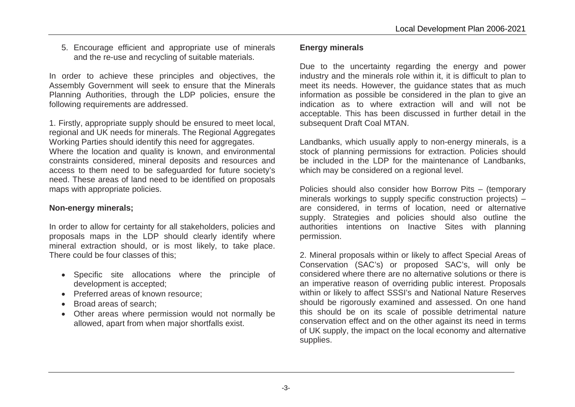5. Encourage efficient and appropriate use of minerals and the re-use and recycling of suitable materials.

In order to achieve these principles and objectives, the Assembly Government will seek to ensure that the Minerals Planning Authorities, through the LDP policies, ensure the following requirements are addressed.

1. Firstly, appropriate supply should be ensured to meet local, regional and UK needs for minerals. The Regional Aggregates Working Parties should identify this need for aggregates. Where the location and quality is known, and environmental constraints considered, mineral deposits and resources and access to them need to be safeguarded for future society's need. These areas of land need to be identified on proposals maps with appropriate policies.

#### **Non-energy minerals;**

In order to allow for certainty for all stakeholders, policies and proposals maps in the LDP should clearly identify where mineral extraction should, or is most likely, to take place. There could be four classes of this;

- Specific site allocations where the principle of development is accepted;
- Preferred areas of known resource;
- Broad areas of search;
- Other areas where permission would not normally be allowed, apart from when major shortfalls exist.

# **Energy minerals**

Due to the uncertainty regarding the energy and power industry and the minerals role within it, it is difficult to plan to meet its needs. However, the guidance states that as much information as possible be considered in the plan to give an indication as to where extraction will and will not be acceptable. This has been discussed in further detail in the subsequent Draft Coal MTAN.

Landbanks, which usually apply to non-energy minerals, is a stock of planning permissions for extraction. Policies should be included in the LDP for the maintenance of Landbanks, which may be considered on a regional level.

Policies should also consider how Borrow Pits – (temporary minerals workings to supply specific construction projects) – are considered, in terms of location, need or alternative supply. Strategies and policies should also outline the authorities intentions on Inactive Sites with planning permission.

2. Mineral proposals within or likely to affect Special Areas of Conservation (SAC's) or proposed SAC's, will only be considered where there are no alternative solutions or there is an imperative reason of overriding public interest. Proposals within or likely to affect SSSI's and National Nature Reserves should be rigorously examined and assessed. On one hand this should be on its scale of possible detrimental nature conservation effect and on the other against its need in terms of UK supply, the impact on the local economy and alternative supplies.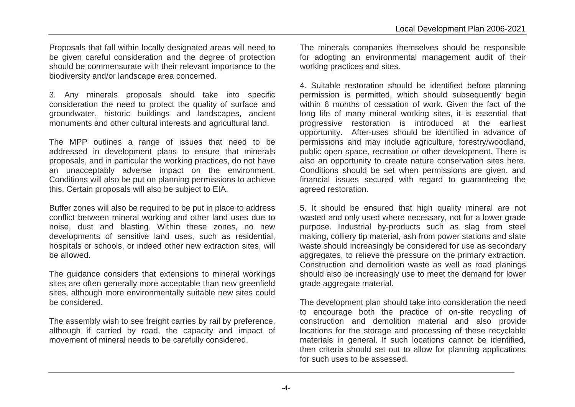Proposals that fall within locally designated areas will need to be given careful consideration and the degree of protection should be commensurate with their relevant importance to the biodiversity and/or landscape area concerned.

3. Any minerals proposals should take into specific consideration the need to protect the quality of surface and groundwater, historic buildings and landscapes, ancient monuments and other cultural interests and agricultural land.

The MPP outlines a range of issues that need to be addressed in development plans to ensure that minerals proposals, and in particular the working practices, do not have an unacceptably adverse impact on the environment. Conditions will also be put on planning permissions to achieve this. Certain proposals will also be subject to EIA.

Buffer zones will also be required to be put in place to address conflict between mineral working and other land uses due to noise, dust and blasting. Within these zones, no new developments of sensitive land uses, such as residential, hospitals or schools, or indeed other new extraction sites, will be allowed.

The guidance considers that extensions to mineral workings sites are often generally more acceptable than new greenfield sites, although more environmentally suitable new sites could be considered.

The assembly wish to see freight carries by rail by preference, although if carried by road, the capacity and impact of movement of mineral needs to be carefully considered.

The minerals companies themselves should be responsible for adopting an environmental management audit of their working practices and sites.

4. Suitable restoration should be identified before planning permission is permitted, which should subsequently begin within 6 months of cessation of work. Given the fact of the long life of many mineral working sites, it is essential that progressive restoration is introduced at the earliest opportunity. After-uses should be identified in advance of permissions and may include agriculture, forestry/woodland, public open space, recreation or other development. There is also an opportunity to create nature conservation sites here. Conditions should be set when permissions are given, and financial issues secured with regard to guaranteeing the agreed restoration.

5. It should be ensured that high quality mineral are not wasted and only used where necessary, not for a lower grade purpose. Industrial by-products such as slag from steel making, colliery tip material, ash from power stations and slate waste should increasingly be considered for use as secondary aggregates, to relieve the pressure on the primary extraction. Construction and demolition waste as well as road planings should also be increasingly use to meet the demand for lower grade aggregate material.

The development plan should take into consideration the need to encourage both the practice of on-site recycling of construction and demolition material and also provide locations for the storage and processing of these recyclable materials in general. If such locations cannot be identified, then criteria should set out to allow for planning applications for such uses to be assessed.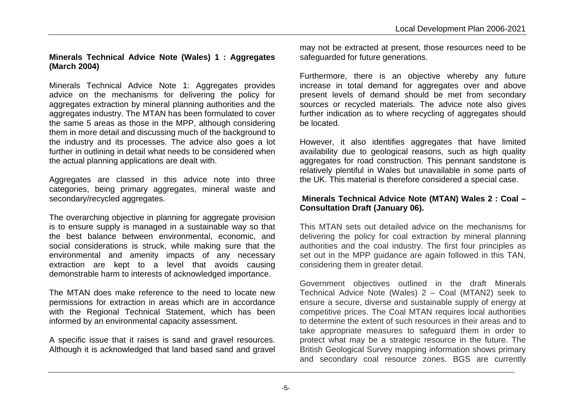# **Minerals Technical Advice Note (Wales) 1 : Aggregates (March 2004)**

Minerals Technical Advice Note 1: Aggregates provides advice on the mechanisms for delivering the policy for aggregates extraction by mineral planning authorities and the aggregates industry. The MTAN has been formulated to cover the same 5 areas as those in the MPP, although considering them in more detail and discussing much of the background to the industry and its processes. The advice also goes a lot further in outlining in detail what needs to be considered when the actual planning applications are dealt with.

Aggregates are classed in this advice note into three categories, being primary aggregates, mineral waste and secondary/recycled aggregates.

The overarching objective in planning for aggregate provision is to ensure supply is managed in a sustainable way so that the best balance between environmental, economic, and social considerations is struck, while making sure that the environmental and amenity impacts of any necessary extraction are kept to a level that avoids causing demonstrable harm to interests of acknowledged importance.

The MTAN does make reference to the need to locate new permissions for extraction in areas which are in accordance with the Regional Technical Statement, which has been informed by an environmental capacity assessment.

A specific issue that it raises is sand and gravel resources. Although it is acknowledged that land based sand and gravel

may not be extracted at present, those resources need to be safeguarded for future generations.

Furthermore, there is an objective whereby any future increase in total demand for aggregates over and above present levels of demand should be met from secondary sources or recycled materials. The advice note also gives further indication as to where recycling of aggregates should be located.

However, it also identifies aggregates that have limited availability due to geological reasons, such as high quality aggregates for road construction. This pennant sandstone is relatively plentiful in Wales but unavailable in some parts of the UK. This material is therefore considered a special case.

#### **Minerals Technical Advice Note (MTAN) Wales 2 : Coal – Consultation Draft (January 06).**

This MTAN sets out detailed advice on the mechanisms for delivering the policy for coal extraction by mineral planning authorities and the coal industry. The first four principles as set out in the MPP guidance are again followed in this TAN, considering them in greater detail.

Government objectives outlined in the draft Minerals Technical Advice Note (Wales) 2 – Coal (MTAN2) seek to ensure a secure, diverse and sustainable supply of energy at competitive prices. The Coal MTAN requires local authorities to determine the extent of such resources in their areas and to take appropriate measures to safeguard them in order to protect what may be a strategic resource in the future. The British Geological Survey mapping information shows primary and secondary coal resource zones. BGS are currently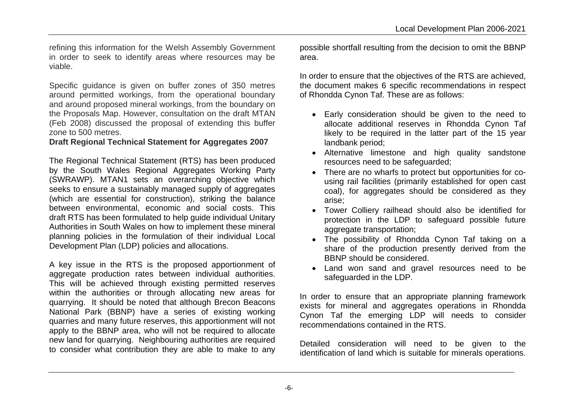refining this information for the Welsh Assembly Government in order to seek to identify areas where resources may be viable.

Specific guidance is given on buffer zones of 350 metres around permitted workings, from the operational boundary and around proposed mineral workings, from the boundary on the Proposals Map. However, consultation on the draft MTAN (Feb 2008) discussed the proposal of extending this buffer zone to 500 metres.

#### **Draft Regional Technical Statement for Aggregates 2007**

The Regional Technical Statement (RTS) has been produced by the South Wales Regional Aggregates Working Party (SWRAWP). MTAN1 sets an overarching objective which seeks to ensure a sustainably managed supply of aggregates (which are essential for construction), striking the balance between environmental, economic and social costs. This draft RTS has been formulated to help guide individual Unitary Authorities in South Wales on how to implement these mineral planning policies in the formulation of their individual Local Development Plan (LDP) policies and allocations.

A key issue in the RTS is the proposed apportionment of aggregate production rates between individual authorities. This will be achieved through existing permitted reserves within the authorities or through allocating new areas for quarrying. It should be noted that although Brecon Beacons National Park (BBNP) have a series of existing working quarries and many future reserves, this apportionment will not apply to the BBNP area, who will not be required to allocate new land for quarrying. Neighbouring authorities are required to consider what contribution they are able to make to any possible shortfall resulting from the decision to omit the BBNP area.

In order to ensure that the objectives of the RTS are achieved, the document makes 6 specific recommendations in respect of Rhondda Cynon Taf. These are as follows:

- Early consideration should be given to the need to allocate additional reserves in Rhondda Cynon Taf likely to be required in the latter part of the 15 year landbank period;
- Alternative limestone and high quality sandstone resources need to be safeguarded;
- There are no wharfs to protect but opportunities for cousing rail facilities (primarily established for open cast coal), for aggregates should be considered as they arise;
- Tower Colliery railhead should also be identified for protection in the LDP to safeguard possible future aggregate transportation;
- The possibility of Rhondda Cynon Taf taking on a share of the production presently derived from the BBNP should be considered.
- Land won sand and gravel resources need to be safeguarded in the LDP.

In order to ensure that an appropriate planning framework exists for mineral and aggregates operations in Rhondda Cynon Taf the emerging LDP will needs to consider recommendations contained in the RTS.

Detailed consideration will need to be given to the identification of land which is suitable for minerals operations.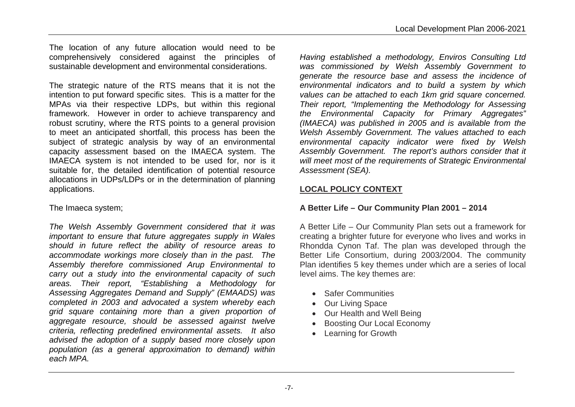The location of any future allocation would need to be comprehensively considered against the principles of sustainable development and environmental considerations.

The strategic nature of the RTS means that it is not the intention to put forward specific sites. This is a matter for the MPAs via their respective LDPs, but within this regional framework. However in order to achieve transparency and robust scrutiny, where the RTS points to a general provision to meet an anticipated shortfall, this process has been the subject of strategic analysis by way of an environmental capacity assessment based on the IMAECA system. The IMAECA system is not intended to be used for, nor is it suitable for, the detailed identification of potential resource allocations in UDPs/LDPs or in the determination of planning applications.

The Imaeca system;

*The Welsh Assembly Government considered that it was important to ensure that future aggregates supply in Wales should in future reflect the ability of resource areas to accommodate workings more closely than in the past. The Assembly therefore commissioned Arup Environmental to carry out a study into the environmental capacity of such areas. Their report, "Establishing a Methodology for Assessing Aggregates Demand and Supply" (EMAADS) was completed in 2003 and advocated a system whereby each grid square containing more than a given proportion of aggregate resource, should be assessed against twelve criteria, reflecting predefined environmental assets. It also advised the adoption of a supply based more closely upon population (as a general approximation to demand) within each MPA.*

*Having established a methodology, Enviros Consulting Ltd was commissioned by Welsh Assembly Government to generate the resource base and assess the incidence of environmental indicators and to build a system by which values can be attached to each 1km grid square concerned. Their report, "Implementing the Methodology for Assessing the Environmental Capacity for Primary Aggregates" (IMAECA) was published in 2005 and is available from the Welsh Assembly Government. The values attached to each environmental capacity indicator were fixed by Welsh Assembly Government. The report's authors consider that it will meet most of the requirements of Strategic Environmental Assessment (SEA).*

# **LOCAL POLICY CONTEXT**

# **A Better Life – Our Community Plan 2001 – 2014**

A Better Life – Our Community Plan sets out a framework for creating a brighter future for everyone who lives and works in Rhondda Cynon Taf. The plan was developed through the Better Life Consortium, during 2003/2004. The community Plan identifies 5 key themes under which are a series of local level aims. The key themes are:

- **Safer Communities**
- Our Living Space
- Our Health and Well Being
- Boosting Our Local Economy
- Learning for Growth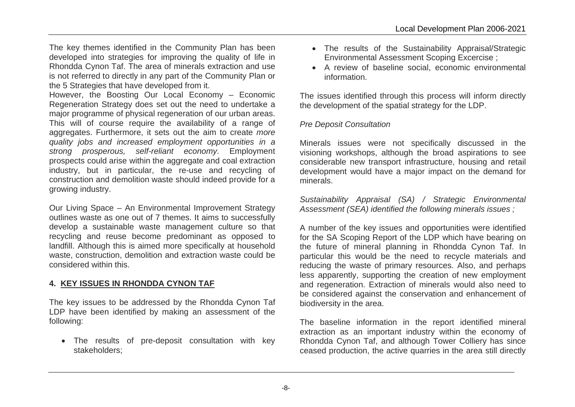The key themes identified in the Community Plan has been developed into strategies for improving the quality of life in Rhondda Cynon Taf. The area of minerals extraction and use is not referred to directly in any part of the Community Plan or the 5 Strategies that have developed from it.

However, the Boosting Our Local Economy – Economic Regeneration Strategy does set out the need to undertake a major programme of physical regeneration of our urban areas. This will of course require the availability of a range of aggregates. Furthermore, it sets out the aim to create *more quality jobs and increased employment opportunities in a strong prosperous, self-reliant economy*. Employment prospects could arise within the aggregate and coal extraction industry, but in particular, the re-use and recycling of construction and demolition waste should indeed provide for a growing industry.

Our Living Space – An Environmental Improvement Strategy outlines waste as one out of 7 themes. It aims to successfully develop a sustainable waste management culture so that recycling and reuse become predominant as opposed to landfill. Although this is aimed more specifically at household waste, construction, demolition and extraction waste could be considered within this.

#### **4. KEY ISSUES IN RHONDDA CYNON TAF**

The key issues to be addressed by the Rhondda Cynon Taf LDP have been identified by making an assessment of the following:

 The results of pre-deposit consultation with key stakeholders;

- The results of the Sustainability Appraisal/Strategic Environmental Assessment Scoping Excercise ;
- A review of baseline social, economic environmental information.

The issues identified through this process will inform directly the development of the spatial strategy for the LDP.

#### *Pre Deposit Consultation*

Minerals issues were not specifically discussed in the visioning workshops, although the broad aspirations to see considerable new transport infrastructure, housing and retail development would have a major impact on the demand for minerals.

*Sustainability Appraisal (SA) / Strategic Environmental Assessment (SEA) identified the following minerals issues ;*

A number of the key issues and opportunities were identified for the SA Scoping Report of the LDP which have bearing on the future of mineral planning in Rhondda Cynon Taf. In particular this would be the need to recycle materials and reducing the waste of primary resources. Also, and perhaps less apparently, supporting the creation of new employment and regeneration. Extraction of minerals would also need to be considered against the conservation and enhancement of biodiversity in the area.

The baseline information in the report identified mineral extraction as an important industry within the economy of Rhondda Cynon Taf, and although Tower Colliery has since ceased production, the active quarries in the area still directly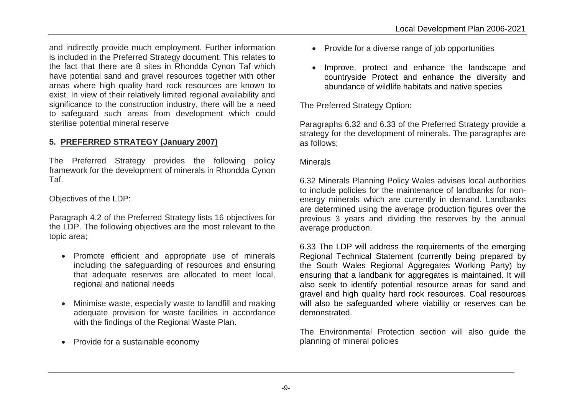and indirectly provide much employment. Further information is included in the Preferred Strategy document. This relates to the fact that there are 8 sites in Rhondda Cynon Taf which have potential sand and gravel resources together with other areas where high quality hard rock resources are known to exist. In view of their relatively limited regional availability and significance to the construction industry, there will be a need to safeguard such areas from development which could sterilise potential mineral reserve

# **5. PREFERRED STRATEGY (January 2007)**

The Preferred Strategy provides the following policy framework for the development of minerals in Rhondda Cynon Taf.

Objectives of the LDP:

Paragraph 4.2 of the Preferred Strategy lists 16 objectives for the LDP. The following objectives are the most relevant to the topic area;

- Promote efficient and appropriate use of minerals including the safeguarding of resources and ensuring that adequate reserves are allocated to meet local, regional and national needs
- Minimise waste, especially waste to landfill and making adequate provision for waste facilities in accordance with the findings of the Regional Waste Plan.
- Provide for a sustainable economy
- Provide for a diverse range of job opportunities
- Improve, protect and enhance the landscape and countryside Protect and enhance the diversity and abundance of wildlife habitats and native species

The Preferred Strategy Option:

Paragraphs 6.32 and 6.33 of the Preferred Strategy provide a strategy for the development of minerals. The paragraphs are as follows;

**Minerals** 

6.32 Minerals Planning Policy Wales advises local authorities to include policies for the maintenance of landbanks for nonenergy minerals which are currently in demand. Landbanks are determined using the average production figures over the previous 3 years and dividing the reserves by the annual average production.

6.33 The LDP will address the requirements of the emerging Regional Technical Statement (currently being prepared by the South Wales Regional Aggregates Working Party) by ensuring that a landbank for aggregates is maintained. It will also seek to identify potential resource areas for sand and gravel and high quality hard rock resources. Coal resources will also be safeguarded where viability or reserves can be demonstrated.

The Environmental Protection section will also guide the planning of mineral policies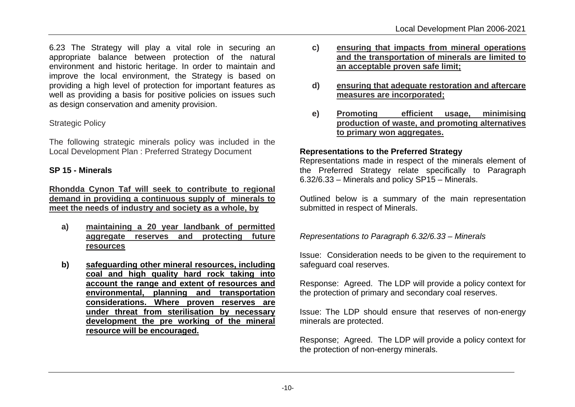6.23 The Strategy will play a vital role in securing an appropriate balance between protection of the natural environment and historic heritage. In order to maintain and improve the local environment, the Strategy is based on providing a high level of protection for important features as well as providing a basis for positive policies on issues such as design conservation and amenity provision.

### Strategic Policy

The following strategic minerals policy was included in the Local Development Plan : Preferred Strategy Document

#### **SP 15 - Minerals**

**Rhondda Cynon Taf will seek to contribute to regional demand in providing a continuous supply of minerals to meet the needs of industry and society as a whole, by**

- **a) maintaining a 20 year landbank of permitted aggregate reserves and protecting future resources**
- **b) safeguarding other mineral resources, including coal and high quality hard rock taking into account the range and extent of resources and environmental, planning and transportation considerations. Where proven reserves are under threat from sterilisation by necessary development the pre working of the mineral resource will be encouraged.**
- **c) ensuring that impacts from mineral operations and the transportation of minerals are limited to an acceptable proven safe limit;**
- **d) ensuring that adequate restoration and aftercare measures are incorporated;**
- **e) Promoting efficient usage, minimising production of waste, and promoting alternatives to primary won aggregates.**

#### **Representations to the Preferred Strategy**

Representations made in respect of the minerals element of the Preferred Strategy relate specifically to Paragraph 6.32/6.33 – Minerals and policy SP15 – Minerals.

Outlined below is a summary of the main representation submitted in respect of Minerals.

*Representations to Paragraph 6.32/6.33 – Minerals*

Issue: Consideration needs to be given to the requirement to safeguard coal reserves.

Response: Agreed. The LDP will provide a policy context for the protection of primary and secondary coal reserves.

Issue: The LDP should ensure that reserves of non-energy minerals are protected.

Response; Agreed. The LDP will provide a policy context for the protection of non-energy minerals.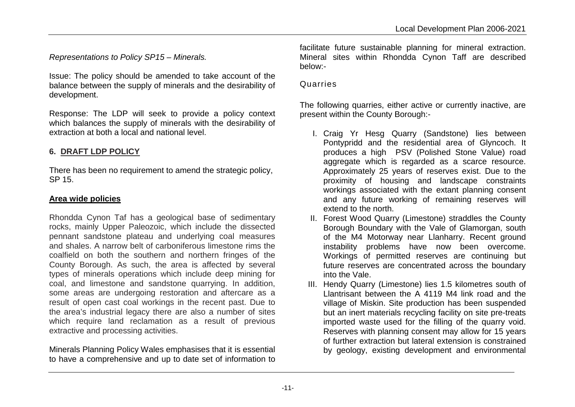*Representations to Policy SP15 – Minerals.*

Issue: The policy should be amended to take account of the balance between the supply of minerals and the desirability of development.

Response: The LDP will seek to provide a policy context which balances the supply of minerals with the desirability of extraction at both a local and national level.

## **6. DRAFT LDP POLICY**

There has been no requirement to amend the strategic policy, SP 15.

#### **Area wide policies**

Rhondda Cynon Taf has a geological base of sedimentary rocks, mainly Upper Paleozoic, which include the dissected pennant sandstone plateau and underlying coal measures and shales. A narrow belt of carboniferous limestone rims the coalfield on both the southern and northern fringes of the County Borough. As such, the area is affected by several types of minerals operations which include deep mining for coal, and limestone and sandstone quarrying. In addition, some areas are undergoing restoration and aftercare as a result of open cast coal workings in the recent past. Due to the area's industrial legacy there are also a number of sites which require land reclamation as a result of previous extractive and processing activities.

Minerals Planning Policy Wales emphasises that it is essential to have a comprehensive and up to date set of information to facilitate future sustainable planning for mineral extraction. Mineral sites within Rhondda Cynon Taff are described below:-

#### Quarries

The following quarries, either active or currently inactive, are present within the County Borough:-

- I. Craig Yr Hesg Quarry (Sandstone) lies between Pontypridd and the residential area of Glyncoch. It produces a high PSV (Polished Stone Value) road aggregate which is regarded as a scarce resource. Approximately 25 years of reserves exist. Due to the proximity of housing and landscape constraints workings associated with the extant planning consent and any future working of remaining reserves will extend to the north.
- II. Forest Wood Quarry (Limestone) straddles the County Borough Boundary with the Vale of Glamorgan, south of the M4 Motorway near Llanharry. Recent ground instability problems have now been overcome. Workings of permitted reserves are continuing but future reserves are concentrated across the boundary into the Vale.
- III. Hendy Quarry (Limestone) lies 1.5 kilometres south of Llantrisant between the A 4119 M4 link road and the village of Miskin. Site production has been suspended but an inert materials recycling facility on site pre-treats imported waste used for the filling of the quarry void. Reserves with planning consent may allow for 15 years of further extraction but lateral extension is constrained by geology, existing development and environmental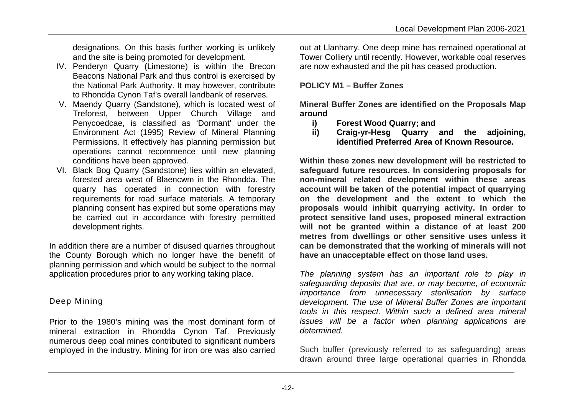designations. On this basis further working is unlikely and the site is being promoted for development.

- IV. Penderyn Quarry (Limestone) is within the Brecon Beacons National Park and thus control is exercised by the National Park Authority. It may however, contribute to Rhondda Cynon Taf's overall landbank of reserves.
- V. Maendy Quarry (Sandstone), which is located west of Treforest, between Upper Church Village and Penycoedcae, is classified as 'Dormant' under the Environment Act (1995) Review of Mineral Planning Permissions. It effectively has planning permission but operations cannot recommence until new planning conditions have been approved.
- VI. Black Bog Quarry (Sandstone) lies within an elevated, forested area west of Blaencwm in the Rhondda. The quarry has operated in connection with forestry requirements for road surface materials. A temporary planning consent has expired but some operations may be carried out in accordance with forestry permitted development rights.

In addition there are a number of disused quarries throughout the County Borough which no longer have the benefit of planning permission and which would be subject to the normal application procedures prior to any working taking place.

# Deep Mining

Prior to the 1980's mining was the most dominant form of mineral extraction in Rhondda Cynon Taf. Previously numerous deep coal mines contributed to significant numbers employed in the industry. Mining for iron ore was also carried

out at Llanharry. One deep mine has remained operational at Tower Colliery until recently. However, workable coal reserves are now exhausted and the pit has ceased production.

# **POLICY M1 – Buffer Zones**

**Mineral Buffer Zones are identified on the Proposals Map around**

- **i) Forest Wood Quarry; and**
- **ii) Craig-yr-Hesg Quarry and the adjoining, identified Preferred Area of Known Resource.**

**Within these zones new development will be restricted to safeguard future resources. In considering proposals for non-mineral related development within these areas account will be taken of the potential impact of quarrying on the development and the extent to which the proposals would inhibit quarrying activity. In order to protect sensitive land uses, proposed mineral extraction will not be granted within a distance of at least 200 metres from dwellings or other sensitive uses unless it can be demonstrated that the working of minerals will not have an unacceptable effect on those land uses.**

*The planning system has an important role to play in safeguarding deposits that are, or may become, of economic importance from unnecessary sterilisation by surface development. The use of Mineral Buffer Zones are important tools in this respect. Within such a defined area mineral issues will be a factor when planning applications are determined.*

Such buffer (previously referred to as safeguarding) areas drawn around three large operational quarries in Rhondda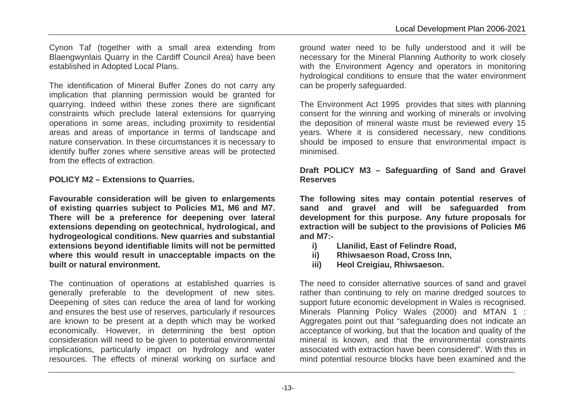Cynon Taf (together with a small area extending from Blaengwynlais Quarry in the Cardiff Council Area) have been established in Adopted Local Plans.

The identification of Mineral Buffer Zones do not carry any implication that planning permission would be granted for quarrying. Indeed within these zones there are significant constraints which preclude lateral extensions for quarrying operations in some areas, including proximity to residential areas and areas of importance in terms of landscape and nature conservation. In these circumstances it is necessary to identify buffer zones where sensitive areas will be protected from the effects of extraction.

**POLICY M2 – Extensions to Quarries.**

**Favourable consideration will be given to enlargements of existing quarries subject to Policies M1, M6 and M7. There will be a preference for deepening over lateral extensions depending on geotechnical, hydrological, and hydrogeological conditions. New quarries and substantial extensions beyond identifiable limits will not be permitted where this would result in unacceptable impacts on the built or natural environment.**

The continuation of operations at established quarries is generally preferable to the development of new sites. Deepening of sites can reduce the area of land for working and ensures the best use of reserves, particularly if resources are known to be present at a depth which may be worked economically. However, in determining the best option consideration will need to be given to potential environmental implications, particularly impact on hydrology and water resources. The effects of mineral working on surface and

ground water need to be fully understood and it will be necessary for the Mineral Planning Authority to work closely with the Environment Agency and operators in monitoring hydrological conditions to ensure that the water environment can be properly safeguarded.

The Environment Act 1995 provides that sites with planning consent for the winning and working of minerals or involving the deposition of mineral waste must be reviewed every 15 years. Where it is considered necessary, new conditions should be imposed to ensure that environmental impact is minimised.

## **Draft POLICY M3 – Safeguarding of Sand and Gravel Reserves**

**The following sites may contain potential reserves of sand and gravel and will be safeguarded from development for this purpose. Any future proposals for extraction will be subject to the provisions of Policies M6 and M7:-**

- **i) Llanilid, East of Felindre Road,**
- **ii) Rhiwsaeson Road, Cross Inn,**
- **iii) Heol Creigiau, Rhiwsaeson.**

The need to consider alternative sources of sand and gravel rather than continuing to rely on marine dredged sources to support future economic development in Wales is recognised. Minerals Planning Policy Wales (2000) and MTAN 1 : Aggregates point out that "safeguarding does not indicate an acceptance of working, but that the location and quality of the mineral is known, and that the environmental constraints associated with extraction have been considered". With this in mind potential resource blocks have been examined and the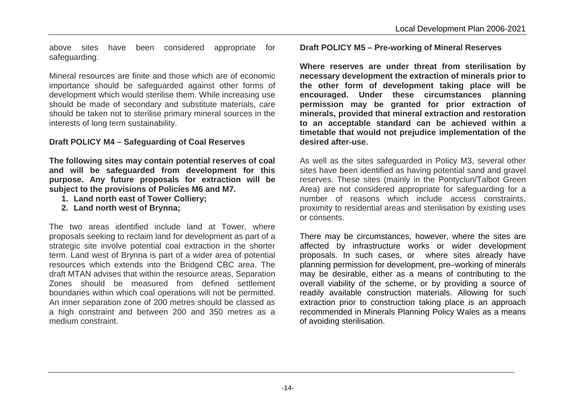above sites have been considered appropriate for safeguarding.

Mineral resources are finite and those which are of economic importance should be safeguarded against other forms of development which would sterilise them. While increasing use should be made of secondary and substitute materials, care should be taken not to sterilise primary mineral sources in the interests of long term sustainability.

# **Draft POLICY M4 – Safeguarding of Coal Reserves**

**The following sites may contain potential reserves of coal and will be safeguarded from development for this purpose. Any future proposals for extraction will be subject to the provisions of Policies M6 and M7.**

- **1. Land north east of Tower Colliery;**
- **2. Land north west of Brynna;**

The two areas identified include land at Tower, where proposals seeking to reclaim land for development as part of a strategic site involve potential coal extraction in the shorter term. Land west of Brynna is part of a wider area of potential resources which extends into the Bridgend CBC area. The draft MTAN advises that within the resource areas, Separation Zones should be measured from defined settlement boundaries within which coal operations will not be permitted. An inner separation zone of 200 metres should be classed as a high constraint and between 200 and 350 metres as a medium constraint.

## **Draft POLICY M5 – Pre-working of Mineral Reserves**

**Where reserves are under threat from sterilisation by necessary development the extraction of minerals prior to the other form of development taking place will be encouraged. Under these circumstances planning permission may be granted for prior extraction of minerals, provided that mineral extraction and restoration to an acceptable standard can be achieved within a timetable that would not prejudice implementation of the desired after-use.**

As well as the sites safeguarded in Policy M3, several other sites have been identified as having potential sand and gravel reserves. These sites (mainly in the Pontyclun/Talbot Green Area) are not considered appropriate for safeguarding for a number of reasons which include access constraints, proximity to residential areas and sterilisation by existing uses or consents.

There may be circumstances, however, where the sites are affected by infrastructure works or wider development proposals. In such cases, or where sites already have planning permission for development, pre–working of minerals may be desirable, either as a means of contributing to the overall viability of the scheme, or by providing a source of readily available construction materials. Allowing for such extraction prior to construction taking place is an approach recommended in Minerals Planning Policy Wales as a means of avoiding sterilisation.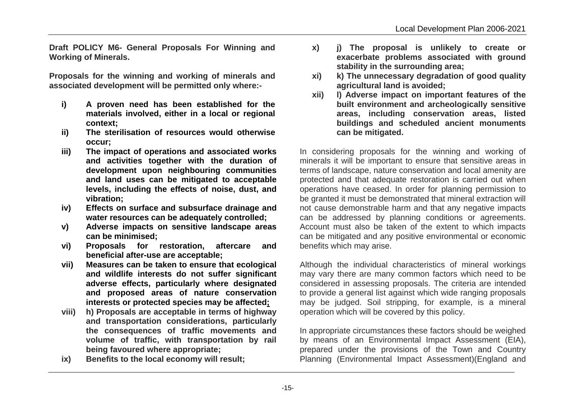**Draft POLICY M6- General Proposals For Winning and Working of Minerals.** 

**Proposals for the winning and working of minerals and associated development will be permitted only where:-**

- **i) A proven need has been established for the materials involved, either in a local or regional context;**
- **ii) The sterilisation of resources would otherwise occur;**
- **iii) The impact of operations and associated works and activities together with the duration of development upon neighbouring communities and land uses can be mitigated to acceptable levels, including the effects of noise, dust, and vibration;**
- **iv) Effects on surface and subsurface drainage and water resources can be adequately controlled;**
- **v) Adverse impacts on sensitive landscape areas can be minimised;**
- **vi) Proposals for restoration, aftercare and beneficial after-use are acceptable;**
- **vii) Measures can be taken to ensure that ecological and wildlife interests do not suffer significant adverse effects, particularly where designated and proposed areas of nature conservation interests or protected species may be affected;**
- **viii) h) Proposals are acceptable in terms of highway and transportation considerations, particularly the consequences of traffic movements and volume of traffic, with transportation by rail being favoured where appropriate;**
- **ix) Benefits to the local economy will result;**
- **x) j) The proposal is unlikely to create or exacerbate problems associated with ground stability in the surrounding area;**
- **xi) k) The unnecessary degradation of good quality agricultural land is avoided;**
- **xii) l) Adverse impact on important features of the built environment and archeologically sensitive areas, including conservation areas, listed buildings and scheduled ancient monuments can be mitigated.**

In considering proposals for the winning and working of minerals it will be important to ensure that sensitive areas in terms of landscape, nature conservation and local amenity are protected and that adequate restoration is carried out when operations have ceased. In order for planning permission to be granted it must be demonstrated that mineral extraction will not cause demonstrable harm and that any negative impacts can be addressed by planning conditions or agreements. Account must also be taken of the extent to which impacts can be mitigated and any positive environmental or economic benefits which may arise.

Although the individual characteristics of mineral workings may vary there are many common factors which need to be considered in assessing proposals. The criteria are intended to provide a general list against which wide ranging proposals may be judged. Soil stripping, for example, is a mineral operation which will be covered by this policy.

In appropriate circumstances these factors should be weighed by means of an Environmental Impact Assessment (EIA), prepared under the provisions of the Town and Country Planning (Environmental Impact Assessment)(England and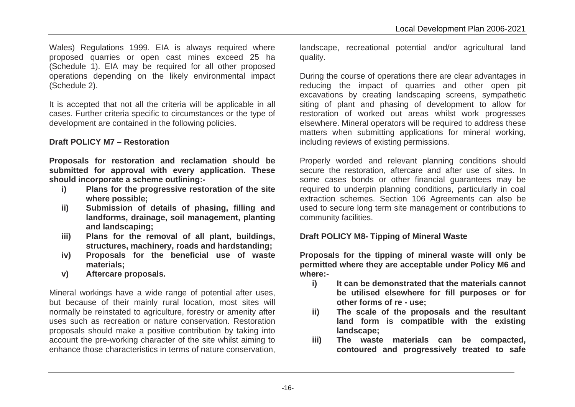Wales) Regulations 1999. EIA is always required where proposed quarries or open cast mines exceed 25 ha (Schedule 1). EIA may be required for all other proposed operations depending on the likely environmental impact (Schedule 2).

It is accepted that not all the criteria will be applicable in all cases. Further criteria specific to circumstances or the type of development are contained in the following policies.

# **Draft POLICY M7 – Restoration**

**Proposals for restoration and reclamation should be submitted for approval with every application. These should incorporate a scheme outlining:-**

- **i) Plans for the progressive restoration of the site where possible;**
- **ii) Submission of details of phasing, filling and landforms, drainage, soil management, planting and landscaping;**
- **iii) Plans for the removal of all plant, buildings, structures, machinery, roads and hardstanding;**
- **iv) Proposals for the beneficial use of waste materials;**
- **v) Aftercare proposals.**

Mineral workings have a wide range of potential after uses, but because of their mainly rural location, most sites will normally be reinstated to agriculture, forestry or amenity after uses such as recreation or nature conservation. Restoration proposals should make a positive contribution by taking into account the pre-working character of the site whilst aiming to enhance those characteristics in terms of nature conservation,

landscape, recreational potential and/or agricultural land quality.

During the course of operations there are clear advantages in reducing the impact of quarries and other open pit excavations by creating landscaping screens, sympathetic siting of plant and phasing of development to allow for restoration of worked out areas whilst work progresses elsewhere. Mineral operators will be required to address these matters when submitting applications for mineral working, including reviews of existing permissions*.*

Properly worded and relevant planning conditions should secure the restoration, aftercare and after use of sites. In some cases bonds or other financial guarantees may be required to underpin planning conditions, particularly in coal extraction schemes. Section 106 Agreements can also be used to secure long term site management or contributions to community facilities.

# **Draft POLICY M8- Tipping of Mineral Waste**

**Proposals for the tipping of mineral waste will only be permitted where they are acceptable under Policy M6 and where:-**

- **i) It can be demonstrated that the materials cannot be utilised elsewhere for fill purposes or for other forms of re - use;**
- **ii) The scale of the proposals and the resultant land form is compatible with the existing landscape;**
- **iii) The waste materials can be compacted, contoured and progressively treated to safe**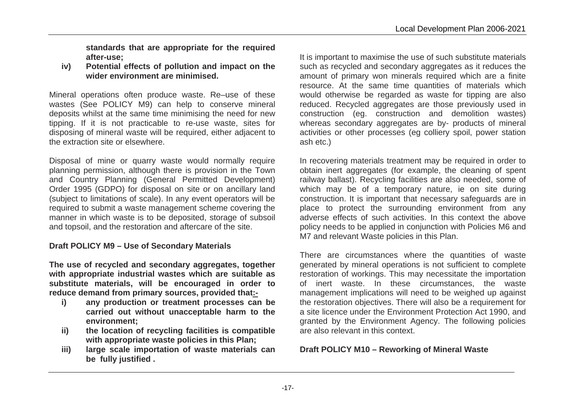**standards that are appropriate for the required after-use;**

**iv) Potential effects of pollution and impact on the wider environment are minimised.**

Mineral operations often produce waste. Re–use of these wastes (See POLICY M9) can help to conserve mineral deposits whilst at the same time minimising the need for new tipping. If it is not practicable to re-use waste, sites for disposing of mineral waste will be required, either adjacent to the extraction site or elsewhere.

Disposal of mine or quarry waste would normally require planning permission, although there is provision in the Town and Country Planning (General Permitted Development) Order 1995 (GDPO) for disposal on site or on ancillary land (subject to limitations of scale). In any event operators will be required to submit a waste management scheme covering the manner in which waste is to be deposited, storage of subsoil and topsoil, and the restoration and aftercare of the site.

#### **Draft POLICY M9 – Use of Secondary Materials**

**The use of recycled and secondary aggregates, together with appropriate industrial wastes which are suitable as substitute materials, will be encouraged in order to reduce demand from primary sources, provided that:-**

- **i) any production or treatment processes can be carried out without unacceptable harm to the environment;**
- **ii) the location of recycling facilities is compatible with appropriate waste policies in this Plan;**
- **iii) large scale importation of waste materials can be fully justified .**

It is important to maximise the use of such substitute materials such as recycled and secondary aggregates as it reduces the amount of primary won minerals required which are a finite resource. At the same time quantities of materials which would otherwise be regarded as waste for tipping are also reduced. Recycled aggregates are those previously used in construction (eg. construction and demolition wastes) whereas secondary aggregates are by- products of mineral activities or other processes (eg colliery spoil, power station ash etc.)

In recovering materials treatment may be required in order to obtain inert aggregates (for example, the cleaning of spent railway ballast). Recycling facilities are also needed, some of which may be of a temporary nature, ie on site during construction. It is important that necessary safeguards are in place to protect the surrounding environment from any adverse effects of such activities. In this context the above policy needs to be applied in conjunction with Policies M6 and M7 and relevant Waste policies in this Plan.

There are circumstances where the quantities of waste generated by mineral operations is not sufficient to complete restoration of workings. This may necessitate the importation of inert waste. In these circumstances, the waste management implications will need to be weighed up against the restoration objectives. There will also be a requirement for a site licence under the Environment Protection Act 1990, and granted by the Environment Agency. The following policies are also relevant in this context.

# **Draft POLICY M10 – Reworking of Mineral Waste**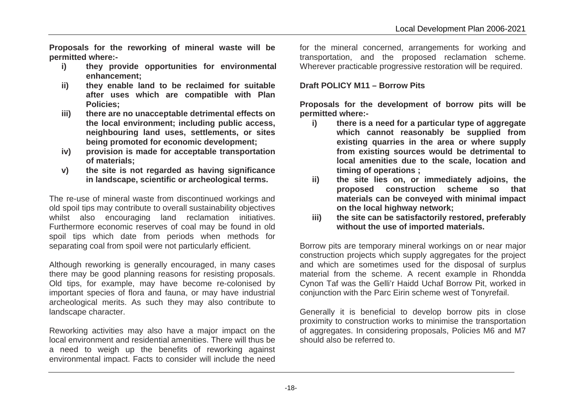**Proposals for the reworking of mineral waste will be permitted where:-**

- **i) they provide opportunities for environmental enhancement;**
- **ii) they enable land to be reclaimed for suitable after uses which are compatible with Plan Policies;**
- **iii) there are no unacceptable detrimental effects on the local environment; including public access, neighbouring land uses, settlements, or sites being promoted for economic development;**
- **iv) provision is made for acceptable transportation of materials;**
- **v) the site is not regarded as having significance in landscape, scientific or archeological terms.**

The re-use of mineral waste from discontinued workings and old spoil tips may contribute to overall sustainability objectives whilst also encouraging land reclamation initiatives. Furthermore economic reserves of coal may be found in old spoil tips which date from periods when methods for separating coal from spoil were not particularly efficient.

Although reworking is generally encouraged, in many cases there may be good planning reasons for resisting proposals. Old tips, for example, may have become re-colonised by important species of flora and fauna, or may have industrial archeological merits. As such they may also contribute to landscape character.

Reworking activities may also have a major impact on the local environment and residential amenities. There will thus be a need to weigh up the benefits of reworking against environmental impact. Facts to consider will include the need

for the mineral concerned, arrangements for working and transportation, and the proposed reclamation scheme. Wherever practicable progressive restoration will be required.

# **Draft POLICY M11 – Borrow Pits**

**Proposals for the development of borrow pits will be permitted where:-**

- **i) there is a need for a particular type of aggregate which cannot reasonably be supplied from existing quarries in the area or where supply from existing sources would be detrimental to local amenities due to the scale, location and timing of operations ;**
- **ii) the site lies on, or immediately adjoins, the proposed construction scheme so that materials can be conveyed with minimal impact on the local highway network;**
- **iii) the site can be satisfactorily restored, preferably without the use of imported materials.**

Borrow pits are temporary mineral workings on or near major construction projects which supply aggregates for the project and which are sometimes used for the disposal of surplus material from the scheme. A recent example in Rhondda Cynon Taf was the Gelli'r Haidd Uchaf Borrow Pit, worked in conjunction with the Parc Eirin scheme west of Tonyrefail.

Generally it is beneficial to develop borrow pits in close proximity to construction works to minimise the transportation of aggregates. In considering proposals, Policies M6 and M7 should also be referred to.